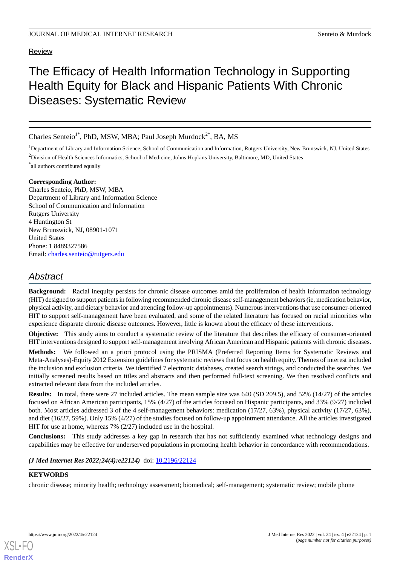### Review

# The Efficacy of Health Information Technology in Supporting Health Equity for Black and Hispanic Patients With Chronic Diseases: Systematic Review

Charles Senteio<sup>1\*</sup>, PhD, MSW, MBA; Paul Joseph Murdock<sup>2\*</sup>, BA, MS

<sup>1</sup>Department of Library and Information Science, School of Communication and Information, Rutgers University, New Brunswick, NJ, United States

<sup>2</sup>Division of Health Sciences Informatics, School of Medicine, Johns Hopkins University, Baltimore, MD, United States

\* all authors contributed equally

### **Corresponding Author:**

Charles Senteio, PhD, MSW, MBA Department of Library and Information Science School of Communication and Information Rutgers University 4 Huntington St New Brunswick, NJ, 08901-1071 United States Phone: 1 8489327586 Email: [charles.senteio@rutgers.edu](mailto:charles.senteio@rutgers.edu)

## *Abstract*

**Background:** Racial inequity persists for chronic disease outcomes amid the proliferation of health information technology (HIT) designed to support patients in following recommended chronic disease self-management behaviors (ie, medication behavior, physical activity, and dietary behavior and attending follow-up appointments). Numerous interventions that use consumer-oriented HIT to support self-management have been evaluated, and some of the related literature has focused on racial minorities who experience disparate chronic disease outcomes. However, little is known about the efficacy of these interventions.

**Objective:** This study aims to conduct a systematic review of the literature that describes the efficacy of consumer-oriented HIT interventions designed to support self-management involving African American and Hispanic patients with chronic diseases.

**Methods:** We followed an a priori protocol using the PRISMA (Preferred Reporting Items for Systematic Reviews and Meta-Analyses)-Equity 2012 Extension guidelines for systematic reviews that focus on health equity. Themes of interest included the inclusion and exclusion criteria. We identified 7 electronic databases, created search strings, and conducted the searches. We initially screened results based on titles and abstracts and then performed full-text screening. We then resolved conflicts and extracted relevant data from the included articles.

**Results:** In total, there were 27 included articles. The mean sample size was 640 (SD 209.5), and 52% (14/27) of the articles focused on African American participants, 15% (4/27) of the articles focused on Hispanic participants, and 33% (9/27) included both. Most articles addressed 3 of the 4 self-management behaviors: medication (17/27, 63%), physical activity (17/27, 63%), and diet (16/27, 59%). Only 15% (4/27) of the studies focused on follow-up appointment attendance. All the articles investigated HIT for use at home, whereas 7% (2/27) included use in the hospital.

**Conclusions:** This study addresses a key gap in research that has not sufficiently examined what technology designs and capabilities may be effective for underserved populations in promoting health behavior in concordance with recommendations.

*(J Med Internet Res 2022;24(4):e22124)* doi:  $10.2196/22124$ 

### **KEYWORDS**

chronic disease; minority health; technology assessment; biomedical; self-management; systematic review; mobile phone



**[RenderX](http://www.renderx.com/)**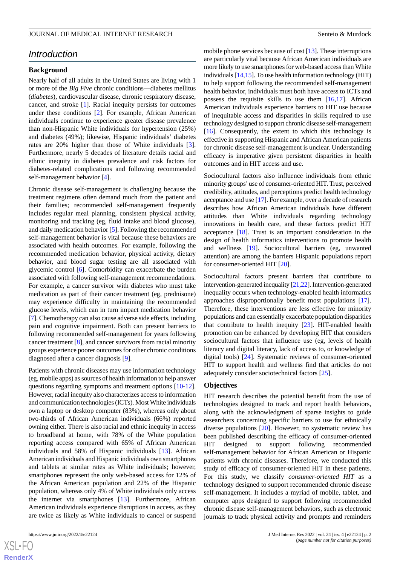### *Introduction*

### **Background**

Nearly half of all adults in the United States are living with 1 or more of the *Big Five* chronic conditions—diabetes mellitus (*diabetes*), cardiovascular disease, chronic respiratory disease, cancer, and stroke [[1\]](#page-10-0). Racial inequity persists for outcomes under these conditions [[2\]](#page-10-1). For example, African American individuals continue to experience greater disease prevalence than non-Hispanic White individuals for hypertension (25%) and diabetes (49%); likewise, Hispanic individuals' diabetes rates are 20% higher than those of White individuals [[3\]](#page-10-2). Furthermore, nearly 5 decades of literature details racial and ethnic inequity in diabetes prevalence and risk factors for diabetes-related complications and following recommended self-management behavior [\[4\]](#page-11-0).

Chronic disease self-management is challenging because the treatment regimens often demand much from the patient and their families; recommended self-management frequently includes regular meal planning, consistent physical activity, monitoring and tracking (eg, fluid intake and blood glucose), and daily medication behavior [\[5](#page-11-1)]. Following the recommended self-management behavior is vital because these behaviors are associated with health outcomes. For example, following the recommended medication behavior, physical activity, dietary behavior, and blood sugar testing are all associated with glycemic control [\[6](#page-11-2)]. Comorbidity can exacerbate the burden associated with following self-management recommendations. For example, a cancer survivor with diabetes who must take medication as part of their cancer treatment (eg, prednisone) may experience difficulty in maintaining the recommended glucose levels, which can in turn impact medication behavior [[7\]](#page-11-3). Chemotherapy can also cause adverse side effects, including pain and cognitive impairment. Both can present barriers to following recommended self-management for years following cancer treatment [\[8](#page-11-4)], and cancer survivors from racial minority groups experience poorer outcomes for other chronic conditions diagnosed after a cancer diagnosis [[9](#page-11-5)].

Patients with chronic diseases may use information technology (eg, mobile apps) as sources of health information to help answer questions regarding symptoms and treatment options [\[10](#page-11-6)-[12\]](#page-11-7). However, racial inequity also characterizes access to information and communication technologies (ICTs). Most White individuals own a laptop or desktop computer (83%), whereas only about two-thirds of African American individuals (66%) reported owning either. There is also racial and ethnic inequity in access to broadband at home, with 78% of the White population reporting access compared with 65% of African American individuals and 58% of Hispanic individuals [\[13](#page-11-8)]. African American individuals and Hispanic individuals own smartphones and tablets at similar rates as White individuals; however, smartphones represent the only web-based access for 12% of the African American population and 22% of the Hispanic population, whereas only 4% of White individuals only access the internet via smartphones [[13\]](#page-11-8). Furthermore, African American individuals experience disruptions in access, as they are twice as likely as White individuals to cancel or suspend

 $XS$ -FO **[RenderX](http://www.renderx.com/)** mobile phone services because of cost [\[13](#page-11-8)]. These interruptions are particularly vital because African American individuals are more likely to use smartphones for web-based access than White individuals [\[14](#page-11-9),[15\]](#page-11-10). To use health information technology (HIT) to help support following the recommended self-management health behavior, individuals must both have access to ICTs and possess the requisite skills to use them  $[16,17]$  $[16,17]$  $[16,17]$  $[16,17]$ . African American individuals experience barriers to HIT use because of inequitable access and disparities in skills required to use technology designed to support chronic disease self-management [[16\]](#page-11-11). Consequently, the extent to which this technology is effective in supporting Hispanic and African American patients for chronic disease self-management is unclear. Understanding efficacy is imperative given persistent disparities in health outcomes and in HIT access and use.

Sociocultural factors also influence individuals from ethnic minority groups'use of consumer-oriented HIT. Trust, perceived credibility, attitudes, and perceptions predict health technology acceptance and use [[17\]](#page-11-12). For example, over a decade of research describes how African American individuals have different attitudes than White individuals regarding technology innovations in health care, and these factors predict HIT acceptance [\[18](#page-11-13)]. Trust is an important consideration in the design of health informatics interventions to promote health and wellness [\[19](#page-11-14)]. Sociocultural barriers (eg, unwanted attention) are among the barriers Hispanic populations report for consumer-oriented HIT [[20\]](#page-11-15).

Sociocultural factors present barriers that contribute to intervention-generated inequality [\[21,](#page-11-16)[22\]](#page-11-17). Intervention-generated inequality occurs when technology-enabled health informatics approaches disproportionally benefit most populations [[17\]](#page-11-12). Therefore, these interventions are less effective for minority populations and can essentially exacerbate population disparities that contribute to health inequity [\[23](#page-11-18)]. HIT-enabled health promotion can be enhanced by developing HIT that considers sociocultural factors that influence use (eg, levels of health literacy and digital literacy, lack of access to, or knowledge of digital tools) [\[24](#page-11-19)]. Systematic reviews of consumer-oriented HIT to support health and wellness find that articles do not adequately consider sociotechnical factors [\[25](#page-11-20)].

#### **Objectives**

HIT research describes the potential benefit from the use of technologies designed to track and report health behaviors, along with the acknowledgment of sparse insights to guide researchers concerning specific barriers to use for ethnically diverse populations [\[20](#page-11-15)]. However, no systematic review has been published describing the efficacy of consumer-oriented HIT designed to support following recommended self-management behavior for African American or Hispanic patients with chronic diseases. Therefore, we conducted this study of efficacy of consumer-oriented HIT in these patients. For this study, we classify *consumer-oriented HIT* as a technology designed to support recommended chronic disease self-management. It includes a myriad of mobile, tablet, and computer apps designed to support following recommended chronic disease self-management behaviors, such as electronic journals to track physical activity and prompts and reminders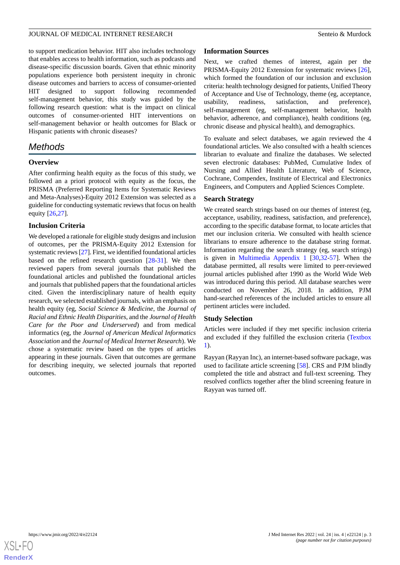to support medication behavior. HIT also includes technology that enables access to health information, such as podcasts and disease-specific discussion boards. Given that ethnic minority populations experience both persistent inequity in chronic disease outcomes and barriers to access of consumer-oriented HIT designed to support following recommended self-management behavior, this study was guided by the following research question: what is the impact on clinical outcomes of consumer-oriented HIT interventions on self-management behavior or health outcomes for Black or Hispanic patients with chronic diseases?

## *Methods*

### **Overview**

After confirming health equity as the focus of this study, we followed an a priori protocol with equity as the focus, the PRISMA (Preferred Reporting Items for Systematic Reviews and Meta-Analyses)-Equity 2012 Extension was selected as a guideline for conducting systematic reviews that focus on health equity [\[26](#page-12-0),[27\]](#page-12-1).

### **Inclusion Criteria**

We developed a rationale for eligible study designs and inclusion of outcomes, per the PRISMA-Equity 2012 Extension for systematic reviews [[27](#page-12-1)]. First, we identified foundational articles based on the refined research question [[28-](#page-12-2)[31](#page-12-3)]. We then reviewed papers from several journals that published the foundational articles and published the foundational articles and journals that published papers that the foundational articles cited. Given the interdisciplinary nature of health equity research, we selected established journals, with an emphasis on health equity (eg, *Social Science & Medicine*, the *Journal of Racial and Ethnic Health Disparities*, and the *Journal of Health Care for the Poor and Underserved*) and from medical informatics (eg, the *Journal of American Medical Informatics Association* and the *Journal of Medical Internet Research*). We chose a systematic review based on the types of articles appearing in these journals. Given that outcomes are germane for describing inequity, we selected journals that reported outcomes.

### **Information Sources**

Next, we crafted themes of interest, again per the PRISMA-Equity 2012 Extension for systematic reviews [[26\]](#page-12-0), which formed the foundation of our inclusion and exclusion criteria: health technology designed for patients, Unified Theory of Acceptance and Use of Technology, theme (eg, acceptance, usability, readiness, satisfaction, and preference), self-management (eg, self-management behavior, health behavior, adherence, and compliance), health conditions (eg, chronic disease and physical health), and demographics.

To evaluate and select databases, we again reviewed the 4 foundational articles. We also consulted with a health sciences librarian to evaluate and finalize the databases. We selected seven electronic databases: PubMed, Cumulative Index of Nursing and Allied Health Literature, Web of Science, Cochrane, Compendex, Institute of Electrical and Electronics Engineers, and Computers and Applied Sciences Complete.

### **Search Strategy**

We created search strings based on our themes of interest (eg, acceptance, usability, readiness, satisfaction, and preference), according to the specific database format, to locate articles that met our inclusion criteria. We consulted with health science librarians to ensure adherence to the database string format. Information regarding the search strategy (eg, search strings) is given in [Multimedia Appendix 1](#page-10-3) [[30](#page-12-4)[,32](#page-12-5)-[57\]](#page-13-0). When the database permitted, all results were limited to peer-reviewed journal articles published after 1990 as the World Wide Web was introduced during this period. All database searches were conducted on November 26, 2018. In addition, PJM hand-searched references of the included articles to ensure all pertinent articles were included.

### **Study Selection**

Articles were included if they met specific inclusion criteria and excluded if they fulfilled the exclusion criteria [\(Textbox](#page-3-0) [1\)](#page-3-0).

Rayyan (Rayyan Inc), an internet-based software package, was used to facilitate article screening [[58\]](#page-13-1). CRS and PJM blindly completed the title and abstract and full-text screening. They resolved conflicts together after the blind screening feature in Rayyan was turned off.

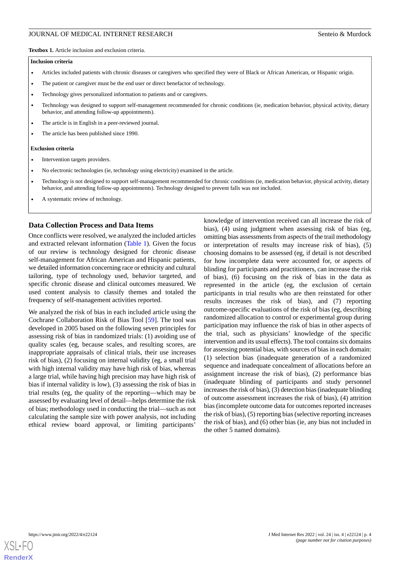<span id="page-3-0"></span>**Textbox 1.** Article inclusion and exclusion criteria.

#### **Inclusion criteria**

- Articles included patients with chronic diseases or caregivers who specified they were of Black or African American, or Hispanic origin.
- The patient or caregiver must be the end user or direct benefactor of technology.
- Technology gives personalized information to patients and or caregivers.
- Technology was designed to support self-management recommended for chronic conditions (ie, medication behavior, physical activity, dietary behavior, and attending follow-up appointments).
- The article is in English in a peer-reviewed journal.
- The article has been published since 1990.

#### **Exclusion criteria**

- Intervention targets providers.
- No electronic technologies (ie, technology using electricity) examined in the article.
- Technology is not designed to support self-management recommended for chronic conditions (ie, medication behavior, physical activity, dietary behavior, and attending follow-up appointments). Technology designed to prevent falls was not included.
- A systematic review of technology.

### **Data Collection Process and Data Items**

Once conflicts were resolved, we analyzed the included articles and extracted relevant information [\(Table 1](#page-4-0)). Given the focus of our review is technology designed for chronic disease self-management for African American and Hispanic patients, we detailed information concerning race or ethnicity and cultural tailoring, type of technology used, behavior targeted, and specific chronic disease and clinical outcomes measured. We used content analysis to classify themes and totaled the frequency of self-management activities reported.

We analyzed the risk of bias in each included article using the Cochrane Collaboration Risk of Bias Tool [\[59](#page-13-2)]. The tool was developed in 2005 based on the following seven principles for assessing risk of bias in randomized trials: (1) avoiding use of quality scales (eg, because scales, and resulting scores, are inappropriate appraisals of clinical trials, their use increases risk of bias), (2) focusing on internal validity (eg, a small trial with high internal validity may have high risk of bias, whereas a large trial, while having high precision may have high risk of bias if internal validity is low), (3) assessing the risk of bias in trial results (eg, the quality of the reporting—which may be assessed by evaluating level of detail—helps determine the risk of bias; methodology used in conducting the trial—such as not calculating the sample size with power analysis, not including ethical review board approval, or limiting participants'

knowledge of intervention received can all increase the risk of bias), (4) using judgment when assessing risk of bias (eg, omitting bias assessments from aspects of the trail methodology or interpretation of results may increase risk of bias), (5) choosing domains to be assessed (eg, if detail is not described for how incomplete data were accounted for, or aspects of blinding for participants and practitioners, can increase the risk of bias), (6) focusing on the risk of bias in the data as represented in the article (eg, the exclusion of certain participants in trial results who are then reinstated for other results increases the risk of bias), and (7) reporting outcome-specific evaluations of the risk of bias (eg, describing randomized allocation to control or experimental group during participation may influence the risk of bias in other aspects of the trial, such as physicians' knowledge of the specific intervention and its usual effects). The tool contains six domains for assessing potential bias, with sources of bias in each domain: (1) selection bias (inadequate generation of a randomized sequence and inadequate concealment of allocations before an assignment increase the risk of bias), (2) performance bias (inadequate blinding of participants and study personnel increases the risk of bias), (3) detection bias (inadequate blinding of outcome assessment increases the risk of bias), (4) attrition bias (incomplete outcome data for outcomes reported increases the risk of bias), (5) reporting bias (selective reporting increases the risk of bias), and (6) other bias (ie, any bias not included in the other 5 named domains).

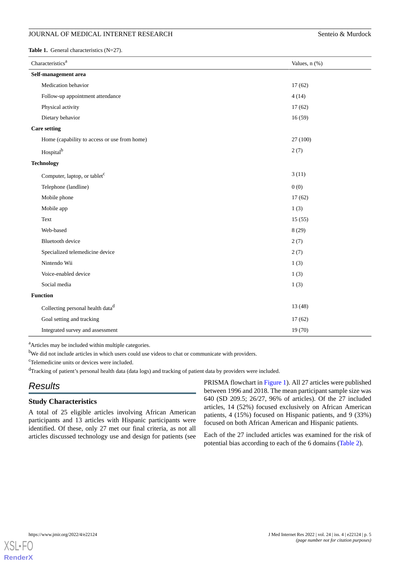<span id="page-4-0"></span>Table 1. General characteristics (N=27).

| Characteristics <sup>a</sup>                 | Values, n (%) |
|----------------------------------------------|---------------|
| Self-management area                         |               |
| Medication behavior                          | 17(62)        |
| Follow-up appointment attendance             | 4(14)         |
| Physical activity                            | 17(62)        |
| Dietary behavior                             | 16(59)        |
| <b>Care setting</b>                          |               |
| Home (capability to access or use from home) | 27 (100)      |
| Hospital <sup>b</sup>                        | 2(7)          |
| <b>Technology</b>                            |               |
| Computer, laptop, or tablet <sup>c</sup>     | 3(11)         |
| Telephone (landline)                         | 0(0)          |
| Mobile phone                                 | 17(62)        |
| Mobile app                                   | 1(3)          |
| Text                                         | 15(55)        |
| Web-based                                    | 8(29)         |
| <b>Bluetooth</b> device                      | 2(7)          |
| Specialized telemedicine device              | 2(7)          |
| Nintendo Wii                                 | 1(3)          |
| Voice-enabled device                         | 1(3)          |
| Social media                                 | 1(3)          |
| <b>Function</b>                              |               |
| Collecting personal health data <sup>d</sup> | 13(48)        |
| Goal setting and tracking                    | 17(62)        |
| Integrated survey and assessment             | 19 (70)       |

<sup>a</sup>Articles may be included within multiple categories.

<sup>b</sup>We did not include articles in which users could use videos to chat or communicate with providers.

<sup>c</sup>Telemedicine units or devices were included.

<sup>d</sup>Tracking of patient's personal health data (data logs) and tracking of patient data by providers were included.

## *Results*

### **Study Characteristics**

A total of 25 eligible articles involving African American participants and 13 articles with Hispanic participants were identified. Of these, only 27 met our final criteria, as not all articles discussed technology use and design for patients (see

PRISMA flowchart in [Figure 1](#page-5-0)). All 27 articles were published between 1996 and 2018. The mean participant sample size was 640 (SD 209.5; 26/27, 96% of articles). Of the 27 included articles, 14 (52%) focused exclusively on African American patients, 4 (15%) focused on Hispanic patients, and 9 (33%) focused on both African American and Hispanic patients.

Each of the 27 included articles was examined for the risk of potential bias according to each of the 6 domains ([Table 2](#page-6-0)).

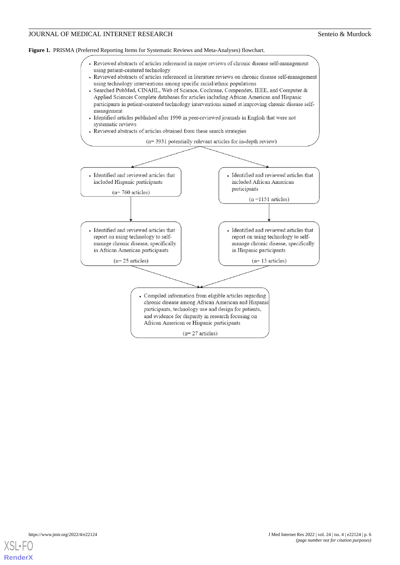<span id="page-5-0"></span>



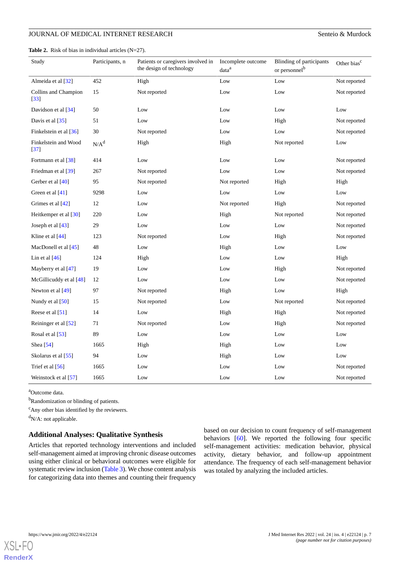#### <span id="page-6-0"></span>**Table 2.** Risk of bias in individual articles (N=27).

| Study                                     | Participants, n | Patients or caregivers involved in<br>the design of technology | Incomplete outcome<br>data <sup>a</sup> | <b>Blinding of participants</b><br>or personnel <sup>b</sup> | Other bias <sup>c</sup> |
|-------------------------------------------|-----------------|----------------------------------------------------------------|-----------------------------------------|--------------------------------------------------------------|-------------------------|
| Almeida et al [32]                        | 452             | High                                                           | Low                                     | Low                                                          | Not reported            |
| Collins and Champion<br>$\left[33\right]$ | 15              | Not reported                                                   | Low                                     | Low                                                          | Not reported            |
| Davidson et al [34]                       | 50              | Low                                                            | Low                                     | Low                                                          | Low                     |
| Davis et al [35]                          | 51              | Low                                                            | Low                                     | High                                                         | Not reported            |
| Finkelstein et al [36]                    | 30              | Not reported                                                   | Low                                     | Low                                                          | Not reported            |
| Finkelstein and Wood<br>$[37]$            | $N/A^d$         | High                                                           | High                                    | Not reported                                                 | Low                     |
| Fortmann et al [38]                       | 414             | Low                                                            | Low                                     | Low                                                          | Not reported            |
| Friedman et al [39]                       | 267             | Not reported                                                   | Low                                     | Low                                                          | Not reported            |
| Gerber et al [40]                         | 95              | Not reported                                                   | Not reported                            | High                                                         | High                    |
| Green et al [41]                          | 9298            | Low                                                            | Low                                     | Low                                                          | Low                     |
| Grimes et al [42]                         | 12              | Low                                                            | Not reported                            | High                                                         | Not reported            |
| Heitkemper et al [30]                     | 220             | Low                                                            | High                                    | Not reported                                                 | Not reported            |
| Joseph et al $[43]$                       | 29              | Low                                                            | Low                                     | Low                                                          | Not reported            |
| Kline et al $[44]$                        | 123             | Not reported                                                   | Low                                     | High                                                         | Not reported            |
| MacDonell et al $[45]$                    | 48              | Low                                                            | High                                    | Low                                                          | Low                     |
| Lin et al $[46]$                          | 124             | High                                                           | Low                                     | Low                                                          | High                    |
| Mayberry et al [47]                       | 19              | Low                                                            | Low                                     | High                                                         | Not reported            |
| McGillicuddy et al [48]                   | 12              | Low                                                            | Low                                     | Low                                                          | Not reported            |
| Newton et al [49]                         | 97              | Not reported                                                   | High                                    | Low                                                          | High                    |
| Nundy et al [50]                          | 15              | Not reported                                                   | Low                                     | Not reported                                                 | Not reported            |
| Reese et al [51]                          | 14              | Low                                                            | High                                    | High                                                         | Not reported            |
| Reininger et al [52]                      | 71              | Not reported                                                   | Low                                     | High                                                         | Not reported            |
| Rosal et al [53]                          | 89              | Low                                                            | Low                                     | Low                                                          | Low                     |
| Shea [54]                                 | 1665            | High                                                           | High                                    | Low                                                          | Low                     |
| Skolarus et al [55]                       | 94              | Low                                                            | High                                    | Low                                                          | Low                     |
| Trief et al [56]                          | 1665            | Low                                                            | Low                                     | Low                                                          | Not reported            |
| Weinstock et al [57]                      | 1665            | Low                                                            | Low                                     | Low                                                          | Not reported            |

<sup>a</sup>Outcome data.

<sup>b</sup>Randomization or blinding of patients.

<sup>c</sup>Any other bias identified by the reviewers.

 $d_{N/A}$ : not applicable.

### **Additional Analyses: Qualitative Synthesis**

Articles that reported technology interventions and included self-management aimed at improving chronic disease outcomes using either clinical or behavioral outcomes were eligible for systematic review inclusion ([Table 3\)](#page-7-0). We chose content analysis for categorizing data into themes and counting their frequency

based on our decision to count frequency of self-management behaviors [\[60](#page-13-14)]. We reported the following four specific self-management activities: medication behavior, physical activity, dietary behavior, and follow-up appointment attendance. The frequency of each self-management behavior was totaled by analyzing the included articles.

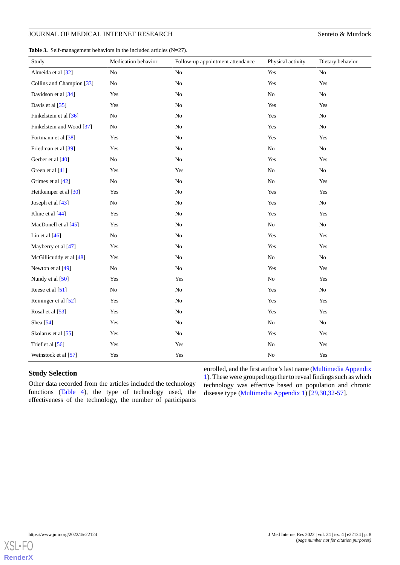<span id="page-7-0"></span>

|  | <b>Table 3.</b> Self-management behaviors in the included articles $(N=27)$ . |  |  |  |
|--|-------------------------------------------------------------------------------|--|--|--|
|--|-------------------------------------------------------------------------------|--|--|--|

| Study                     | Medication behavior | Follow-up appointment attendance | Physical activity | Dietary behavior |
|---------------------------|---------------------|----------------------------------|-------------------|------------------|
| Almeida et al [32]        | No                  | N <sub>o</sub>                   | Yes               | No               |
| Collins and Champion [33] | No                  | N <sub>o</sub>                   | Yes               | Yes              |
| Davidson et al [34]       | Yes                 | No                               | N <sub>o</sub>    | N <sub>o</sub>   |
| Davis et al [35]          | Yes                 | N <sub>o</sub>                   | Yes               | Yes              |
| Finkelstein et al [36]    | No                  | No                               | Yes               | N <sub>o</sub>   |
| Finkelstein and Wood [37] | No                  | N <sub>o</sub>                   | Yes               | N <sub>o</sub>   |
| Fortmann et al [38]       | Yes                 | N <sub>o</sub>                   | Yes               | Yes              |
| Friedman et al [39]       | Yes                 | No                               | N <sub>o</sub>    | $\rm No$         |
| Gerber et al [40]         | No                  | No                               | Yes               | Yes              |
| Green et al [41]          | Yes                 | Yes                              | $\rm No$          | $\rm No$         |
| Grimes et al [42]         | No                  | $\rm No$                         | $\rm No$          | Yes              |
| Heitkemper et al [30]     | Yes                 | No                               | Yes               | Yes              |
| Joseph et al [43]         | $\rm No$            | No                               | Yes               | $\rm No$         |
| Kline et al [44]          | Yes                 | No                               | Yes               | Yes              |
| MacDonell et al [45]      | Yes                 | $\rm No$                         | $\rm No$          | $\rm No$         |
| Lin et al $[46]$          | $\rm No$            | No                               | Yes               | Yes              |
| Mayberry et al [47]       | Yes                 | No                               | Yes               | Yes              |
| McGillicuddy et al [48]   | Yes                 | No                               | $\rm No$          | N <sub>o</sub>   |
| Newton et al [49]         | N <sub>o</sub>      | N <sub>o</sub>                   | Yes               | Yes              |
| Nundy et al [50]          | Yes                 | Yes                              | No                | Yes              |
| Reese et al [51]          | No                  | N <sub>o</sub>                   | Yes               | N <sub>o</sub>   |
| Reininger et al [52]      | Yes                 | N <sub>o</sub>                   | Yes               | Yes              |
| Rosal et al [53]          | Yes                 | N <sub>o</sub>                   | Yes               | Yes              |
| Shea [54]                 | Yes                 | N <sub>o</sub>                   | N <sub>o</sub>    | N <sub>o</sub>   |
| Skolarus et al [55]       | Yes                 | N <sub>o</sub>                   | Yes               | Yes              |
| Trief et al [56]          | Yes                 | Yes                              | $\rm No$          | Yes              |
| Weinstock et al [57]      | Yes                 | Yes                              | No                | Yes              |

### **Study Selection**

Other data recorded from the articles included the technology functions ([Table 4](#page-8-0)), the type of technology used, the effectiveness of the technology, the number of participants enrolled, and the first author's last name [\(Multimedia Appendix](#page-10-3) [1](#page-10-3)). These were grouped together to reveal findings such as which technology was effective based on population and chronic disease type [\(Multimedia Appendix 1](#page-10-3)) [\[29](#page-12-19),[30](#page-12-4)[,32](#page-12-5)-[57\]](#page-13-0).

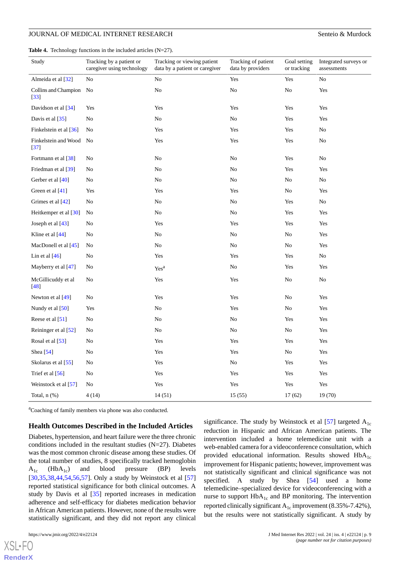<span id="page-8-0"></span>**Table 4.** Technology functions in the included articles (N=27).

| Study                             | Tracking by a patient or<br>caregiver using technology | Tracking or viewing patient<br>data by a patient or caregiver | Tracking of patient<br>data by providers | Goal setting<br>or tracking | Integrated surveys or<br>assessments |
|-----------------------------------|--------------------------------------------------------|---------------------------------------------------------------|------------------------------------------|-----------------------------|--------------------------------------|
| Almeida et al [32]                | N <sub>0</sub>                                         | No                                                            | Yes                                      | Yes                         | No                                   |
| Collins and Champion No<br>$[33]$ |                                                        | No                                                            | No                                       | No                          | Yes                                  |
| Davidson et al [34]               | Yes                                                    | Yes                                                           | Yes                                      | Yes                         | Yes                                  |
| Davis et al [35]                  | No                                                     | No                                                            | No                                       | Yes                         | Yes                                  |
| Finkelstein et al [36]            | No                                                     | Yes                                                           | Yes                                      | Yes                         | No                                   |
| Finkelstein and Wood<br>$[37]$    | No                                                     | Yes                                                           | Yes                                      | Yes                         | No                                   |
| Fortmann et al [38]               | No                                                     | No                                                            | No                                       | Yes                         | No                                   |
| Friedman et al [39]               | No                                                     | No                                                            | N <sub>o</sub>                           | Yes                         | Yes                                  |
| Gerber et al [40]                 | No                                                     | No                                                            | No                                       | No                          | No                                   |
| Green et al [41]                  | Yes                                                    | Yes                                                           | Yes                                      | No                          | Yes                                  |
| Grimes et al [42]                 | No                                                     | No                                                            | No                                       | Yes                         | No                                   |
| Heitkemper et al [30]             | No                                                     | No                                                            | No                                       | Yes                         | Yes                                  |
| Joseph et al $[43]$               | No                                                     | Yes                                                           | Yes                                      | Yes                         | Yes                                  |
| Kline et al [44]                  | No                                                     | No                                                            | N <sub>0</sub>                           | No                          | Yes                                  |
| MacDonell et al [45]              | No                                                     | No                                                            | $\rm No$                                 | No                          | Yes                                  |
| Lin et al $[46]$                  | No                                                     | Yes                                                           | Yes                                      | Yes                         | N <sub>0</sub>                       |
| Mayberry et al [47]               | No                                                     | Yes <sup>a</sup>                                              | No                                       | Yes                         | Yes                                  |
| McGillicuddy et al<br>[48]        | No                                                     | Yes                                                           | Yes                                      | No                          | No                                   |
| Newton et al [49]                 | No                                                     | Yes                                                           | Yes                                      | No                          | Yes                                  |
| Nundy et al [50]                  | Yes                                                    | No                                                            | Yes                                      | N <sub>o</sub>              | Yes                                  |
| Reese et al [51]                  | No                                                     | No                                                            | No                                       | Yes                         | Yes                                  |
| Reininger et al [52]              | No                                                     | No                                                            | No                                       | No                          | Yes                                  |
| Rosal et al [53]                  | No                                                     | Yes                                                           | Yes                                      | Yes                         | Yes                                  |
| Shea [54]                         | No                                                     | Yes                                                           | Yes                                      | No                          | Yes                                  |
| Skolarus et al [55]               | N <sub>0</sub>                                         | Yes                                                           | N <sub>0</sub>                           | Yes                         | Yes                                  |
| Trief et al [56]                  | N <sub>0</sub>                                         | Yes                                                           | Yes                                      | Yes                         | Yes                                  |
| Weinstock et al [57]              | No                                                     | Yes                                                           | Yes                                      | Yes                         | Yes                                  |
| Total, $n$ $(\%)$                 | 4 (14)                                                 | 14(51)                                                        | 15(55)                                   | 17(62)                      | 19 (70)                              |

<sup>a</sup>Coaching of family members via phone was also conducted.

### **Health Outcomes Described in the Included Articles**

Diabetes, hypertension, and heart failure were the three chronic conditions included in the resultant studies (N=27). Diabetes was the most common chronic disease among these studies. Of the total number of studies, 8 specifically tracked hemoglobin  $A_{1c}$  (Hb $A_{1c}$ ) and blood pressure (BP) levels [[30](#page-12-4)[,35](#page-12-8),[38](#page-12-11)[,44](#page-12-17),[54](#page-13-11)[,56](#page-13-13),[57\]](#page-13-0). Only a study by Weinstock et al [\[57](#page-13-0)] reported statistical significance for both clinical outcomes. A study by Davis et al [[35\]](#page-12-8) reported increases in medication adherence and self-efficacy for diabetes medication behavior in African American patients. However, none of the results were statistically significant, and they did not report any clinical

 $XS$ l • FC **[RenderX](http://www.renderx.com/)** significance. The study by Weinstock et al  $[57]$  $[57]$  targeted  $A_{1c}$ reduction in Hispanic and African American patients. The intervention included a home telemedicine unit with a web-enabled camera for a videoconference consultation, which provided educational information. Results showed  $HbA_{1c}$ improvement for Hispanic patients; however, improvement was not statistically significant and clinical significance was not specified. A study by Shea [\[54](#page-13-11)] used a home telemedicine–specialized device for videoconferencing with a nurse to support  $HbA_{1c}$  and BP monitoring. The intervention reported clinically significant  $A_{1c}$  improvement (8.35%-7.42%), but the results were not statistically significant. A study by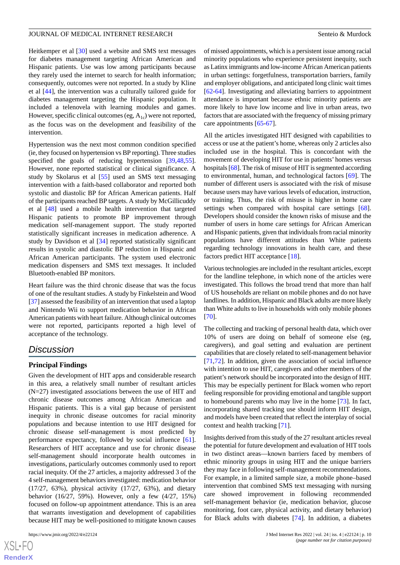Heitkemper et al [[30\]](#page-12-4) used a website and SMS text messages for diabetes management targeting African American and Hispanic patients. Use was low among participants because they rarely used the internet to search for health information; consequently, outcomes were not reported. In a study by Kline et al [[44\]](#page-12-17), the intervention was a culturally tailored guide for diabetes management targeting the Hispanic population. It included a telenovela with learning modules and games. However, specific clinical outcomes (eg,  $A_{1c}$ ) were not reported, as the focus was on the development and feasibility of the intervention.

Hypertension was the next most common condition specified (ie, they focused on hypertension vs BP reporting). Three studies specified the goals of reducing hypertension [[39](#page-12-12)[,48](#page-13-5),[55\]](#page-13-12). However, none reported statistical or clinical significance. A study by Skolarus et al [\[55](#page-13-12)] used an SMS text messaging intervention with a faith-based collaborator and reported both systolic and diastolic BP for African American patients. Half of the participants reached BP targets. A study by McGillicuddy et al [[48\]](#page-13-5) used a mobile health intervention that targeted Hispanic patients to promote BP improvement through medication self-management support. The study reported statistically significant increases in medication adherence. A study by Davidson et al [\[34](#page-12-7)] reported statistically significant results in systolic and diastolic BP reduction in Hispanic and African American participants. The system used electronic medication dispensers and SMS text messages. It included Bluetooth-enabled BP monitors.

Heart failure was the third chronic disease that was the focus of one of the resultant studies. A study by Finkelstein and Wood [[37\]](#page-12-10) assessed the feasibility of an intervention that used a laptop and Nintendo Wii to support medication behavior in African American patients with heart failure. Although clinical outcomes were not reported, participants reported a high level of acceptance of the technology.

## *Discussion*

### **Principal Findings**

Given the development of HIT apps and considerable research in this area, a relatively small number of resultant articles (N=27) investigated associations between the use of HIT and chronic disease outcomes among African American and Hispanic patients. This is a vital gap because of persistent inequity in chronic disease outcomes for racial minority populations and because intention to use HIT designed for chronic disease self-management is most predicted by performance expectancy, followed by social influence [[61\]](#page-13-15). Researchers of HIT acceptance and use for chronic disease self-management should incorporate health outcomes in investigations, particularly outcomes commonly used to report racial inequity. Of the 27 articles, a majority addressed 3 of the 4 self-management behaviors investigated: medication behavior (17/27, 63%), physical activity (17/27, 63%), and dietary behavior (16/27, 59%). However, only a few (4/27, 15%) focused on follow-up appointment attendance. This is an area that warrants investigation and development of capabilities because HIT may be well-positioned to mitigate known causes

[XSL](http://www.w3.org/Style/XSL)•FO **[RenderX](http://www.renderx.com/)** of missed appointments, which is a persistent issue among racial minority populations who experience persistent inequity, such as Latinx immigrants and low-income African American patients in urban settings: forgetfulness, transportation barriers, family and employer obligations, and anticipated long clinic wait times [[62](#page-13-16)[-64](#page-13-17)]. Investigating and alleviating barriers to appointment attendance is important because ethnic minority patients are more likely to have low income and live in urban areas, two factors that are associated with the frequency of missing primary care appointments [\[65](#page-13-18)-[67\]](#page-14-0).

All the articles investigated HIT designed with capabilities to access or use at the patient's home, whereas only 2 articles also included use in the hospital. This is concordant with the movement of developing HIT for use in patients' homes versus hospitals [[68](#page-14-1)]. The risk of misuse of HIT is segmented according to environmental, human, and technological factors [\[69](#page-14-2)]. The number of different users is associated with the risk of misuse because users may have various levels of education, instruction, or training. Thus, the risk of misuse is higher in home care settings when compared with hospital care settings [[68\]](#page-14-1). Developers should consider the known risks of misuse and the number of users in home care settings for African American and Hispanic patients, given that individuals from racial minority populations have different attitudes than White patients regarding technology innovations in health care, and these factors predict HIT acceptance [\[18](#page-11-13)].

Various technologies are included in the resultant articles, except for the landline telephone, in which none of the articles were investigated. This follows the broad trend that more than half of US households are reliant on mobile phones and do not have landlines. In addition, Hispanic and Black adults are more likely than White adults to live in households with only mobile phones [[70\]](#page-14-3).

The collecting and tracking of personal health data, which over 10% of users are doing on behalf of someone else (eg, caregivers), and goal setting and evaluation are pertinent capabilities that are closely related to self-management behavior [[71,](#page-14-4)[72\]](#page-14-5). In addition, given the association of social influence with intention to use HIT, caregivers and other members of the patient's network should be incorporated into the design of HIT. This may be especially pertinent for Black women who report feeling responsible for providing emotional and tangible support to homebound parents who may live in the home [[73\]](#page-14-6). In fact, incorporating shared tracking use should inform HIT design, and models have been created that reflect the interplay of social context and health tracking [[71\]](#page-14-4).

Insights derived from this study of the 27 resultant articles reveal the potential for future development and evaluation of HIT tools in two distinct areas—known barriers faced by members of ethnic minority groups in using HIT and the unique barriers they may face in following self-management recommendations. For example, in a limited sample size, a mobile phone–based intervention that combined SMS text messaging with nursing care showed improvement in following recommended self-management behavior (ie, medication behavior, glucose monitoring, foot care, physical activity, and dietary behavior) for Black adults with diabetes [\[74](#page-14-7)]. In addition, a diabetes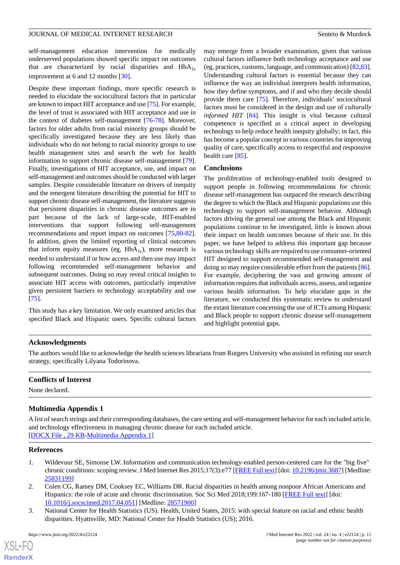self-management education intervention for medically underserved populations showed specific impact on outcomes that are characterized by racial disparities and  $HbA_{1c}$ improvement at 6 and 12 months [[30\]](#page-12-4).

Despite these important findings, more specific research is needed to elucidate the sociocultural factors that in particular are known to impact HIT acceptance and use [\[75](#page-14-8)]. For example, the level of trust is associated with HIT acceptance and use in the context of diabetes self-management [\[76](#page-14-9)-[78\]](#page-14-10). Moreover, factors for older adults from racial minority groups should be specifically investigated because they are less likely than individuals who do not belong to racial minority groups to use health management sites and search the web for health information to support chronic disease self-management [[79\]](#page-14-11). Finally, investigations of HIT acceptance, use, and impact on self-management and outcomes should be conducted with larger samples. Despite considerable literature on drivers of inequity and the emergent literature describing the potential for HIT to support chronic disease self-management, the literature suggests that persistent disparities in chronic disease outcomes are in part because of the lack of large-scale, HIT-enabled interventions that support following self-management recommendations and report impact on outcomes [[75](#page-14-8)[,80](#page-14-12)-[82\]](#page-14-13). In addition, given the limited reporting of clinical outcomes that inform equity measures (eg,  $HbA_{1c}$ ), more research is needed to understand if or how access and then use may impact following recommended self-management behavior and subsequent outcomes. Doing so may reveal critical insights to associate HIT access with outcomes, particularly imperative given persistent barriers to technology acceptability and use [[75\]](#page-14-8).

This study has a key limitation. We only examined articles that specified Black and Hispanic users. Specific cultural factors

may emerge from a broader examination, given that various cultural factors influence both technology acceptance and use (eg, practices, customs, language, and communication) [[82,](#page-14-13)[83\]](#page-14-14). Understanding cultural factors is essential because they can influence the way an individual interprets health information, how they define symptoms, and if and who they decide should provide them care [\[75](#page-14-8)]. Therefore, individuals' sociocultural factors must be considered in the design and use of *culturally informed HIT* [[84\]](#page-14-15). This insight is vital because cultural competence is specified as a critical aspect in developing technology to help reduce health inequity globally; in fact, this has become a popular concept in various countries for improving quality of care, specifically access to respectful and responsive health care [\[85](#page-14-16)].

### **Conclusions**

The proliferation of technology-enabled tools designed to support people in following recommendations for chronic disease self-management has outpaced the research describing the degree to which the Black and Hispanic populations use this technology to support self-management behavior. Although factors driving the general use among the Black and Hispanic populations continue to be investigated, little is known about their impact on health outcomes because of their use. In this paper, we have helped to address this important gap because various technology skills are required to use consumer-oriented HIT designed to support recommended self-management and doing so may require considerable effort from the patients [[86\]](#page-14-17). For example, deciphering the vast and growing amount of information requires that individuals access, assess, and organize various health information. To help elucidate gaps in the literature, we conducted this systematic review to understand the extant literature concerning the use of ICTs among Hispanic and Black people to support chronic disease self-management and highlight potential gaps.

### **Acknowledgments**

The authors would like to acknowledge the health sciences librarians from Rutgers University who assisted in refining our search strategy, specifically Lilyana Todorinova.

### <span id="page-10-3"></span>**Conflicts of Interest**

None declared.

### **Multimedia Appendix 1**

<span id="page-10-0"></span>A list of search strings and their corresponding databases, the care setting and self-management behavior for each included article, and technology effectiveness in managing chronic disease for each included article. [[DOCX File , 29 KB](https://jmir.org/api/download?alt_name=jmir_v24i4e22124_app1.docx&filename=66fb63be483af821f9c25fedaab7b30a.docx)-[Multimedia Appendix 1\]](https://jmir.org/api/download?alt_name=jmir_v24i4e22124_app1.docx&filename=66fb63be483af821f9c25fedaab7b30a.docx)

### <span id="page-10-1"></span>**References**

- <span id="page-10-2"></span>1. Wildevuur SE, Simonse LW. Information and communication technology-enabled person-centered care for the "big five" chronic conditions: scoping review. J Med Internet Res 2015;17(3):e77 [[FREE Full text\]](https://www.jmir.org/2015/3/e77/) [doi: [10.2196/jmir.3687](http://dx.doi.org/10.2196/jmir.3687)] [Medline: [25831199](http://www.ncbi.nlm.nih.gov/entrez/query.fcgi?cmd=Retrieve&db=PubMed&list_uids=25831199&dopt=Abstract)]
- 2. Colen CG, Ramey DM, Cooksey EC, Williams DR. Racial disparities in health among nonpoor African Americans and Hispanics: the role of acute and chronic discrimination. Soc Sci Med 2018;199:167-180 [[FREE Full text](http://europepmc.org/abstract/MED/28571900)] [doi: [10.1016/j.socscimed.2017.04.051](http://dx.doi.org/10.1016/j.socscimed.2017.04.051)] [Medline: [28571900](http://www.ncbi.nlm.nih.gov/entrez/query.fcgi?cmd=Retrieve&db=PubMed&list_uids=28571900&dopt=Abstract)]
- 3. National Center for Health Statistics (US). Health, United States, 2015: with special feature on racial and ethnic health disparities. Hyattsville, MD: National Center for Health Statistics (US); 2016.

 $XS$  $\cdot$ FC **[RenderX](http://www.renderx.com/)**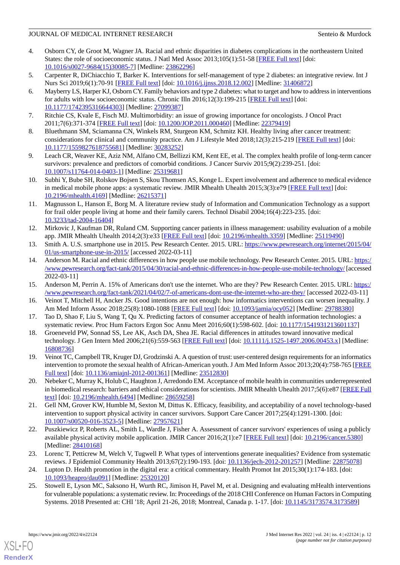- <span id="page-11-0"></span>4. Osborn CY, de Groot M, Wagner JA. Racial and ethnic disparities in diabetes complications in the northeastern United States: the role of socioeconomic status. J Natl Med Assoc 2013;105(1):51-58 [[FREE Full text](http://europepmc.org/abstract/MED/23862296)] [doi: [10.1016/s0027-9684\(15\)30085-7](http://dx.doi.org/10.1016/s0027-9684(15)30085-7)] [Medline: [23862296\]](http://www.ncbi.nlm.nih.gov/entrez/query.fcgi?cmd=Retrieve&db=PubMed&list_uids=23862296&dopt=Abstract)
- <span id="page-11-2"></span><span id="page-11-1"></span>5. Carpenter R, DiChiacchio T, Barker K. Interventions for self-management of type 2 diabetes: an integrative review. Int J Nurs Sci 2019;6(1):70-91 [\[FREE Full text\]](https://linkinghub.elsevier.com/retrieve/pii/S2352-0132(18)30342-9) [doi: [10.1016/j.ijnss.2018.12.002](http://dx.doi.org/10.1016/j.ijnss.2018.12.002)] [Medline: [31406872\]](http://www.ncbi.nlm.nih.gov/entrez/query.fcgi?cmd=Retrieve&db=PubMed&list_uids=31406872&dopt=Abstract)
- 6. Mayberry LS, Harper KJ, Osborn CY. Family behaviors and type 2 diabetes: what to target and how to address in interventions for adults with low socioeconomic status. Chronic Illn 2016;12(3):199-215 [\[FREE Full text\]](http://europepmc.org/abstract/MED/27099387) [doi: [10.1177/1742395316644303\]](http://dx.doi.org/10.1177/1742395316644303) [Medline: [27099387\]](http://www.ncbi.nlm.nih.gov/entrez/query.fcgi?cmd=Retrieve&db=PubMed&list_uids=27099387&dopt=Abstract)
- <span id="page-11-4"></span><span id="page-11-3"></span>7. Ritchie CS, Kvale E, Fisch MJ. Multimorbidity: an issue of growing importance for oncologists. J Oncol Pract 2011;7(6):371-374 [[FREE Full text](http://europepmc.org/abstract/MED/22379419)] [doi: [10.1200/JOP.2011.000460](http://dx.doi.org/10.1200/JOP.2011.000460)] [Medline: [22379419](http://www.ncbi.nlm.nih.gov/entrez/query.fcgi?cmd=Retrieve&db=PubMed&list_uids=22379419&dopt=Abstract)]
- <span id="page-11-5"></span>8. Bluethmann SM, Sciamanna CN, Winkels RM, Sturgeon KM, Schmitz KH. Healthy living after cancer treatment: considerations for clinical and community practice. Am J Lifestyle Med 2018;12(3):215-219 [[FREE Full text](http://europepmc.org/abstract/MED/30283252)] [doi: [10.1177/1559827618755681\]](http://dx.doi.org/10.1177/1559827618755681) [Medline: [30283252\]](http://www.ncbi.nlm.nih.gov/entrez/query.fcgi?cmd=Retrieve&db=PubMed&list_uids=30283252&dopt=Abstract)
- <span id="page-11-6"></span>9. Leach CR, Weaver KE, Aziz NM, Alfano CM, Bellizzi KM, Kent EE, et al. The complex health profile of long-term cancer survivors: prevalence and predictors of comorbid conditions. J Cancer Surviv 2015;9(2):239-251. [doi: [10.1007/s11764-014-0403-1\]](http://dx.doi.org/10.1007/s11764-014-0403-1) [Medline: [25319681](http://www.ncbi.nlm.nih.gov/entrez/query.fcgi?cmd=Retrieve&db=PubMed&list_uids=25319681&dopt=Abstract)]
- 10. Subhi Y, Bube SH, Rolskov Bojsen S, Skou Thomsen AS, Konge L. Expert involvement and adherence to medical evidence in medical mobile phone apps: a systematic review. JMIR Mhealth Uhealth 2015;3(3):e79 [\[FREE Full text\]](https://mhealth.jmir.org/2015/3/e79/) [doi: [10.2196/mhealth.4169](http://dx.doi.org/10.2196/mhealth.4169)] [Medline: [26215371](http://www.ncbi.nlm.nih.gov/entrez/query.fcgi?cmd=Retrieve&db=PubMed&list_uids=26215371&dopt=Abstract)]
- <span id="page-11-7"></span>11. Magnusson L, Hanson E, Borg M. A literature review study of Information and Communication Technology as a support for frail older people living at home and their family carers. Technol Disabil 2004;16(4):223-235. [doi: [10.3233/tad-2004-16404\]](http://dx.doi.org/10.3233/tad-2004-16404)
- <span id="page-11-9"></span><span id="page-11-8"></span>12. Mirkovic J, Kaufman DR, Ruland CM. Supporting cancer patients in illness management: usability evaluation of a mobile app. JMIR Mhealth Uhealth 2014;2(3):e33 [[FREE Full text](https://mhealth.jmir.org/2014/3/e33/)] [doi: [10.2196/mhealth.3359](http://dx.doi.org/10.2196/mhealth.3359)] [Medline: [25119490](http://www.ncbi.nlm.nih.gov/entrez/query.fcgi?cmd=Retrieve&db=PubMed&list_uids=25119490&dopt=Abstract)]
- 13. Smith A. U.S. smartphone use in 2015. Pew Research Center. 2015. URL: [https://www.pewresearch.org/internet/2015/04/](https://www.pewresearch.org/internet/2015/04/01/us-smartphone-use-in-2015/) [01/us-smartphone-use-in-2015/](https://www.pewresearch.org/internet/2015/04/01/us-smartphone-use-in-2015/) [accessed 2022-03-11]
- <span id="page-11-11"></span><span id="page-11-10"></span>14. Anderson M. Racial and ethnic differences in how people use mobile technology. Pew Research Center. 2015. URL: [https:/](https://www.pewresearch.org/fact-tank/2015/04/30/racial-and-ethnic-differences-in-how-people-use-mobile-technology/) [/www.pewresearch.org/fact-tank/2015/04/30/racial-and-ethnic-differences-in-how-people-use-mobile-technology/](https://www.pewresearch.org/fact-tank/2015/04/30/racial-and-ethnic-differences-in-how-people-use-mobile-technology/) [accessed 2022-03-11]
- <span id="page-11-12"></span>15. Anderson M, Perrin A. 15% of Americans don't use the internet. Who are they? Pew Research Center. 2015. URL: [https:/](https://www.pewresearch.org/fact-tank/2021/04/02/7-of-americans-dont-use-the-internet-who-are-they/) [/www.pewresearch.org/fact-tank/2021/04/02/7-of-americans-dont-use-the-internet-who-are-they/](https://www.pewresearch.org/fact-tank/2021/04/02/7-of-americans-dont-use-the-internet-who-are-they/) [accessed 2022-03-11]
- <span id="page-11-13"></span>16. Veinot T, Mitchell H, Ancker JS. Good intentions are not enough: how informatics interventions can worsen inequality. J Am Med Inform Assoc 2018;25(8):1080-1088 [\[FREE Full text\]](http://europepmc.org/abstract/MED/29788380) [doi: [10.1093/jamia/ocy052\]](http://dx.doi.org/10.1093/jamia/ocy052) [Medline: [29788380](http://www.ncbi.nlm.nih.gov/entrez/query.fcgi?cmd=Retrieve&db=PubMed&list_uids=29788380&dopt=Abstract)]
- <span id="page-11-14"></span>17. Tao D, Shao F, Liu S, Wang T, Qu X. Predicting factors of consumer acceptance of health information technologies: a systematic review. Proc Hum Factors Ergon Soc Annu Meet 2016;60(1):598-602. [doi: [10.1177/1541931213601137\]](http://dx.doi.org/10.1177/1541931213601137)
- <span id="page-11-15"></span>18. Groeneveld PW, Sonnad SS, Lee AK, Asch DA, Shea JE. Racial differences in attitudes toward innovative medical technology. J Gen Intern Med 2006;21(6):559-563 [\[FREE Full text\]](https://onlinelibrary.wiley.com/resolve/openurl?genre=article&sid=nlm:pubmed&issn=0884-8734&date=2006&volume=21&issue=6&spage=559) [doi: [10.1111/j.1525-1497.2006.00453.x\]](http://dx.doi.org/10.1111/j.1525-1497.2006.00453.x) [Medline: [16808736](http://www.ncbi.nlm.nih.gov/entrez/query.fcgi?cmd=Retrieve&db=PubMed&list_uids=16808736&dopt=Abstract)]
- <span id="page-11-16"></span>19. Veinot TC, Campbell TR, Kruger DJ, Grodzinski A. A question of trust: user-centered design requirements for an informatics intervention to promote the sexual health of African-American youth. J Am Med Inform Assoc 2013;20(4):758-765 [\[FREE](http://europepmc.org/abstract/MED/23512830) [Full text\]](http://europepmc.org/abstract/MED/23512830) [doi: [10.1136/amiajnl-2012-001361](http://dx.doi.org/10.1136/amiajnl-2012-001361)] [Medline: [23512830\]](http://www.ncbi.nlm.nih.gov/entrez/query.fcgi?cmd=Retrieve&db=PubMed&list_uids=23512830&dopt=Abstract)
- <span id="page-11-17"></span>20. Nebeker C, Murray K, Holub C, Haughton J, Arredondo EM. Acceptance of mobile health in communities underrepresented in biomedical research: barriers and ethical considerations for scientists. JMIR Mhealth Uhealth 2017;5(6):e87 [\[FREE Full](https://mhealth.jmir.org/2017/6/e87/) [text](https://mhealth.jmir.org/2017/6/e87/)] [doi: [10.2196/mhealth.6494\]](http://dx.doi.org/10.2196/mhealth.6494) [Medline: [28659258](http://www.ncbi.nlm.nih.gov/entrez/query.fcgi?cmd=Retrieve&db=PubMed&list_uids=28659258&dopt=Abstract)]
- <span id="page-11-18"></span>21. Gell NM, Grover KW, Humble M, Sexton M, Dittus K. Efficacy, feasibility, and acceptability of a novel technology-based intervention to support physical activity in cancer survivors. Support Care Cancer 2017;25(4):1291-1300. [doi: [10.1007/s00520-016-3523-5\]](http://dx.doi.org/10.1007/s00520-016-3523-5) [Medline: [27957621](http://www.ncbi.nlm.nih.gov/entrez/query.fcgi?cmd=Retrieve&db=PubMed&list_uids=27957621&dopt=Abstract)]
- <span id="page-11-20"></span><span id="page-11-19"></span>22. Puszkiewicz P, Roberts AL, Smith L, Wardle J, Fisher A. Assessment of cancer survivors' experiences of using a publicly available physical activity mobile application. JMIR Cancer 2016;2(1):e7 [\[FREE Full text](https://cancer.jmir.org/2016/1/e7/)] [doi: [10.2196/cancer.5380\]](http://dx.doi.org/10.2196/cancer.5380) [Medline: [28410168](http://www.ncbi.nlm.nih.gov/entrez/query.fcgi?cmd=Retrieve&db=PubMed&list_uids=28410168&dopt=Abstract)]
- 23. Lorenc T, Petticrew M, Welch V, Tugwell P. What types of interventions generate inequalities? Evidence from systematic reviews. J Epidemiol Community Health 2013;67(2):190-193. [doi: [10.1136/jech-2012-201257\]](http://dx.doi.org/10.1136/jech-2012-201257) [Medline: [22875078](http://www.ncbi.nlm.nih.gov/entrez/query.fcgi?cmd=Retrieve&db=PubMed&list_uids=22875078&dopt=Abstract)]
- 24. Lupton D. Health promotion in the digital era: a critical commentary. Health Promot Int 2015;30(1):174-183. [doi: [10.1093/heapro/dau091](http://dx.doi.org/10.1093/heapro/dau091)] [Medline: [25320120](http://www.ncbi.nlm.nih.gov/entrez/query.fcgi?cmd=Retrieve&db=PubMed&list_uids=25320120&dopt=Abstract)]
- 25. Stowell E, Lyson MC, Saksono H, Wurth RC, Jimison H, Pavel M, et al. Designing and evaluating mHealth interventions for vulnerable populations: a systematic review. In: Proceedings of the 2018 CHI Conference on Human Factors in Computing Systems. 2018 Presented at: CHI '18; April 21-26, 2018; Montreal, Canada p. 1-17. [doi: [10.1145/3173574.3173589\]](http://dx.doi.org/10.1145/3173574.3173589)

[XSL](http://www.w3.org/Style/XSL)•FO **[RenderX](http://www.renderx.com/)**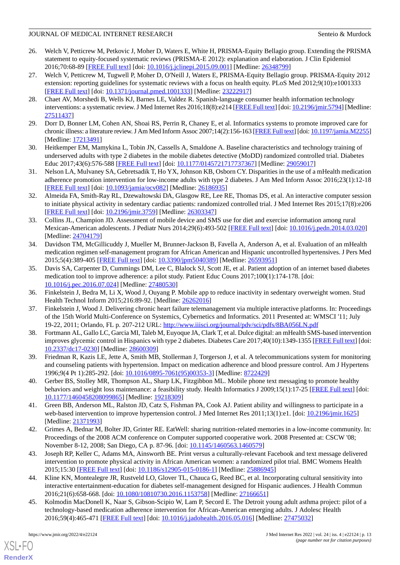- <span id="page-12-0"></span>26. Welch V, Petticrew M, Petkovic J, Moher D, Waters E, White H, PRISMA-Equity Bellagio group. Extending the PRISMA statement to equity-focused systematic reviews (PRISMA-E 2012): explanation and elaboration. J Clin Epidemiol 2016;70:68-89 [\[FREE Full text\]](https://linkinghub.elsevier.com/retrieve/pii/S0895-4356(15)00420-5) [doi: [10.1016/j.jclinepi.2015.09.001\]](http://dx.doi.org/10.1016/j.jclinepi.2015.09.001) [Medline: [26348799\]](http://www.ncbi.nlm.nih.gov/entrez/query.fcgi?cmd=Retrieve&db=PubMed&list_uids=26348799&dopt=Abstract)
- <span id="page-12-1"></span>27. Welch V, Petticrew M, Tugwell P, Moher D, O'Neill J, Waters E, PRISMA-Equity Bellagio group. PRISMA-Equity 2012 extension: reporting guidelines for systematic reviews with a focus on health equity. PLoS Med 2012;9(10):e1001333 [[FREE Full text](https://dx.plos.org/10.1371/journal.pmed.1001333)] [doi: [10.1371/journal.pmed.1001333](http://dx.doi.org/10.1371/journal.pmed.1001333)] [Medline: [23222917](http://www.ncbi.nlm.nih.gov/entrez/query.fcgi?cmd=Retrieve&db=PubMed&list_uids=23222917&dopt=Abstract)]
- <span id="page-12-2"></span>28. Chaet AV, Morshedi B, Wells KJ, Barnes LE, Valdez R. Spanish-language consumer health information technology interventions: a systematic review. J Med Internet Res 2016;18(8):e214 [\[FREE Full text](https://www.jmir.org/2016/8/e214/)] [doi: [10.2196/jmir.5794](http://dx.doi.org/10.2196/jmir.5794)] [Medline: [27511437](http://www.ncbi.nlm.nih.gov/entrez/query.fcgi?cmd=Retrieve&db=PubMed&list_uids=27511437&dopt=Abstract)]
- <span id="page-12-19"></span><span id="page-12-4"></span>29. Dorr D, Bonner LM, Cohen AN, Shoai RS, Perrin R, Chaney E, et al. Informatics systems to promote improved care for chronic illness: a literature review. J Am Med Inform Assoc 2007;14(2):156-163 [[FREE Full text\]](http://europepmc.org/abstract/MED/17213491) [doi: [10.1197/jamia.M2255\]](http://dx.doi.org/10.1197/jamia.M2255) [Medline: [17213491](http://www.ncbi.nlm.nih.gov/entrez/query.fcgi?cmd=Retrieve&db=PubMed&list_uids=17213491&dopt=Abstract)]
- <span id="page-12-3"></span>30. Heitkemper EM, Mamykina L, Tobin JN, Cassells A, Smaldone A. Baseline characteristics and technology training of underserved adults with type 2 diabetes in the mobile diabetes detective (MoDD) randomized controlled trial. Diabetes Educ 2017;43(6):576-588 [[FREE Full text](http://europepmc.org/abstract/MED/29059017)] [doi: [10.1177/0145721717737367\]](http://dx.doi.org/10.1177/0145721717737367) [Medline: [29059017\]](http://www.ncbi.nlm.nih.gov/entrez/query.fcgi?cmd=Retrieve&db=PubMed&list_uids=29059017&dopt=Abstract)
- <span id="page-12-5"></span>31. Nelson LA, Mulvaney SA, Gebretsadik T, Ho YX, Johnson KB, Osborn CY. Disparities in the use of a mHealth medication adherence promotion intervention for low-income adults with type 2 diabetes. J Am Med Inform Assoc 2016;23(1):12-18 [[FREE Full text](http://europepmc.org/abstract/MED/26186935)] [doi: [10.1093/jamia/ocv082](http://dx.doi.org/10.1093/jamia/ocv082)] [Medline: [26186935\]](http://www.ncbi.nlm.nih.gov/entrez/query.fcgi?cmd=Retrieve&db=PubMed&list_uids=26186935&dopt=Abstract)
- <span id="page-12-6"></span>32. Almeida FA, Smith-Ray RL, Dzewaltowski DA, Glasgow RE, Lee RE, Thomas DS, et al. An interactive computer session to initiate physical activity in sedentary cardiac patients: randomized controlled trial. J Med Internet Res 2015;17(8):e206 [[FREE Full text](https://www.jmir.org/2015/8/e206/)] [doi: [10.2196/jmir.3759](http://dx.doi.org/10.2196/jmir.3759)] [Medline: [26303347](http://www.ncbi.nlm.nih.gov/entrez/query.fcgi?cmd=Retrieve&db=PubMed&list_uids=26303347&dopt=Abstract)]
- <span id="page-12-7"></span>33. Collins JL, Champion JD. Assessment of mobile device and SMS use for diet and exercise information among rural Mexican-American adolescents. J Pediatr Nurs 2014;29(6):493-502 [\[FREE Full text\]](http://europepmc.org/abstract/MED/24704179) [doi: [10.1016/j.pedn.2014.03.020](http://dx.doi.org/10.1016/j.pedn.2014.03.020)] [Medline: [24704179](http://www.ncbi.nlm.nih.gov/entrez/query.fcgi?cmd=Retrieve&db=PubMed&list_uids=24704179&dopt=Abstract)]
- <span id="page-12-8"></span>34. Davidson TM, McGillicuddy J, Mueller M, Brunner-Jackson B, Favella A, Anderson A, et al. Evaluation of an mHealth medication regimen self-management program for African American and Hispanic uncontrolled hypertensives. J Pers Med 2015;5(4):389-405 [[FREE Full text](https://www.mdpi.com/resolver?pii=jpm5040389)] [doi: [10.3390/jpm5040389](http://dx.doi.org/10.3390/jpm5040389)] [Medline: [26593951](http://www.ncbi.nlm.nih.gov/entrez/query.fcgi?cmd=Retrieve&db=PubMed&list_uids=26593951&dopt=Abstract)]
- <span id="page-12-10"></span><span id="page-12-9"></span>35. Davis SA, Carpenter D, Cummings DM, Lee C, Blalock SJ, Scott JE, et al. Patient adoption of an internet based diabetes medication tool to improve adherence: a pilot study. Patient Educ Couns 2017;100(1):174-178. [doi: [10.1016/j.pec.2016.07.024\]](http://dx.doi.org/10.1016/j.pec.2016.07.024) [Medline: [27480530](http://www.ncbi.nlm.nih.gov/entrez/query.fcgi?cmd=Retrieve&db=PubMed&list_uids=27480530&dopt=Abstract)]
- <span id="page-12-11"></span>36. Finkelstein J, Bedra M, Li X, Wood J, Ouyang P. Mobile app to reduce inactivity in sedentary overweight women. Stud Health Technol Inform 2015;216:89-92. [Medline: [26262016](http://www.ncbi.nlm.nih.gov/entrez/query.fcgi?cmd=Retrieve&db=PubMed&list_uids=26262016&dopt=Abstract)]
- 37. Finkelstein J, Wood J. Delivering chronic heart failure telemanagement via multiple interactive platforms. In: Proceedings of the 15th World Multi-Conference on Systemics, Cybernetics and Informatics. 2011 Presented at: WMSCI '11; July 19-22, 2011; Orlando, FL p. 207-212 URL:<http://www.iiisci.org/journal/pdv/sci/pdfs/8BA056LN.pdf>
- <span id="page-12-13"></span><span id="page-12-12"></span>38. Fortmann AL, Gallo LC, Garcia MI, Taleb M, Euyoque JA, Clark T, et al. Dulce digital: an mHealth SMS-based intervention improves glycemic control in Hispanics with type 2 diabetes. Diabetes Care 2017;40(10):1349-1355 [[FREE Full text](http://europepmc.org/abstract/MED/28600309)] [doi: [10.2337/dc17-0230\]](http://dx.doi.org/10.2337/dc17-0230) [Medline: [28600309](http://www.ncbi.nlm.nih.gov/entrez/query.fcgi?cmd=Retrieve&db=PubMed&list_uids=28600309&dopt=Abstract)]
- <span id="page-12-14"></span>39. Friedman R, Kazis LE, Jette A, Smith MB, Stollerman J, Torgerson J, et al. A telecommunications system for monitoring and counseling patients with hypertension. Impact on medication adherence and blood pressure control. Am J Hypertens 1996;9(4 Pt 1):285-292. [doi: [10.1016/0895-7061\(95\)00353-3](http://dx.doi.org/10.1016/0895-7061(95)00353-3)] [Medline: [8722429](http://www.ncbi.nlm.nih.gov/entrez/query.fcgi?cmd=Retrieve&db=PubMed&list_uids=8722429&dopt=Abstract)]
- <span id="page-12-15"></span>40. Gerber BS, Stolley MR, Thompson AL, Sharp LK, Fitzgibbon ML. Mobile phone text messaging to promote healthy behaviors and weight loss maintenance: a feasibility study. Health Informatics J 2009;15(1):17-25 [\[FREE Full text\]](https://journals.sagepub.com/doi/10.1177/1460458208099865?url_ver=Z39.88-2003&rfr_id=ori:rid:crossref.org&rfr_dat=cr_pub%3dpubmed) [doi: [10.1177/1460458208099865\]](http://dx.doi.org/10.1177/1460458208099865) [Medline: [19218309\]](http://www.ncbi.nlm.nih.gov/entrez/query.fcgi?cmd=Retrieve&db=PubMed&list_uids=19218309&dopt=Abstract)
- <span id="page-12-16"></span>41. Green BB, Anderson ML, Ralston JD, Catz S, Fishman PA, Cook AJ. Patient ability and willingness to participate in a web-based intervention to improve hypertension control. J Med Internet Res 2011;13(1):e1. [doi: [10.2196/jmir.1625\]](http://dx.doi.org/10.2196/jmir.1625) [Medline: [21371993](http://www.ncbi.nlm.nih.gov/entrez/query.fcgi?cmd=Retrieve&db=PubMed&list_uids=21371993&dopt=Abstract)]
- <span id="page-12-17"></span>42. Grimes A, Bednar M, Bolter JD, Grinter RE. EatWell: sharing nutrition-related memories in a low-income community. In: Proceedings of the 2008 ACM conference on Computer supported cooperative work. 2008 Presented at: CSCW '08; November 8-12, 2008; San Diego, CA p. 87-96. [doi: [10.1145/1460563.1460579](http://dx.doi.org/10.1145/1460563.1460579)]
- <span id="page-12-18"></span>43. Joseph RP, Keller C, Adams MA, Ainsworth BE. Print versus a culturally-relevant Facebook and text message delivered intervention to promote physical activity in African American women: a randomized pilot trial. BMC Womens Health 2015;15:30 [[FREE Full text](https://bmcwomenshealth.biomedcentral.com/articles/10.1186/s12905-015-0186-1)] [doi: [10.1186/s12905-015-0186-1\]](http://dx.doi.org/10.1186/s12905-015-0186-1) [Medline: [25886945\]](http://www.ncbi.nlm.nih.gov/entrez/query.fcgi?cmd=Retrieve&db=PubMed&list_uids=25886945&dopt=Abstract)
- 44. Kline KN, Montealegre JR, Rustveld LO, Glover TL, Chauca G, Reed BC, et al. Incorporating cultural sensitivity into interactive entertainment-education for diabetes self-management designed for Hispanic audiences. J Health Commun 2016;21(6):658-668. [doi: [10.1080/10810730.2016.1153758\]](http://dx.doi.org/10.1080/10810730.2016.1153758) [Medline: [27166651](http://www.ncbi.nlm.nih.gov/entrez/query.fcgi?cmd=Retrieve&db=PubMed&list_uids=27166651&dopt=Abstract)]
- 45. Kolmodin MacDonell K, Naar S, Gibson-Scipio W, Lam P, Secord E. The Detroit young adult asthma project: pilot of a technology-based medication adherence intervention for African-American emerging adults. J Adolesc Health 2016;59(4):465-471 [[FREE Full text](http://europepmc.org/abstract/MED/27475032)] [doi: [10.1016/j.jadohealth.2016.05.016](http://dx.doi.org/10.1016/j.jadohealth.2016.05.016)] [Medline: [27475032](http://www.ncbi.nlm.nih.gov/entrez/query.fcgi?cmd=Retrieve&db=PubMed&list_uids=27475032&dopt=Abstract)]

[XSL](http://www.w3.org/Style/XSL)•FO **[RenderX](http://www.renderx.com/)**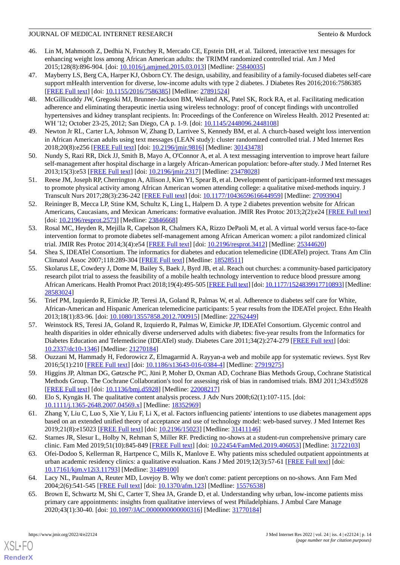- <span id="page-13-3"></span>46. Lin M, Mahmooth Z, Dedhia N, Frutchey R, Mercado CE, Epstein DH, et al. Tailored, interactive text messages for enhancing weight loss among African American adults: the TRIMM randomized controlled trial. Am J Med 2015;128(8):896-904. [doi: [10.1016/j.amjmed.2015.03.013\]](http://dx.doi.org/10.1016/j.amjmed.2015.03.013) [Medline: [25840035\]](http://www.ncbi.nlm.nih.gov/entrez/query.fcgi?cmd=Retrieve&db=PubMed&list_uids=25840035&dopt=Abstract)
- <span id="page-13-4"></span>47. Mayberry LS, Berg CA, Harper KJ, Osborn CY. The design, usability, and feasibility of a family-focused diabetes self-care support mHealth intervention for diverse, low-income adults with type 2 diabetes. J Diabetes Res 2016;2016:7586385 [[FREE Full text](https://doi.org/10.1155/2016/7586385)] [doi: [10.1155/2016/7586385\]](http://dx.doi.org/10.1155/2016/7586385) [Medline: [27891524](http://www.ncbi.nlm.nih.gov/entrez/query.fcgi?cmd=Retrieve&db=PubMed&list_uids=27891524&dopt=Abstract)]
- <span id="page-13-5"></span>48. McGillicuddy JW, Gregoski MJ, Brunner-Jackson BM, Weiland AK, Patel SK, Rock RA, et al. Facilitating medication adherence and eliminating therapeutic inertia using wireless technology: proof of concept findings with uncontrolled hypertensives and kidney transplant recipients. In: Proceedings of the Conference on Wireless Health. 2012 Presented at: WH '12; October 23-25, 2012; San Diego, CA p. 1-9. [doi:  $10.1145/2448096.2448108$ ]
- <span id="page-13-7"></span><span id="page-13-6"></span>49. Newton Jr RL, Carter LA, Johnson W, Zhang D, Larrivee S, Kennedy BM, et al. A church-based weight loss intervention in African American adults using text messages (LEAN study): cluster randomized controlled trial. J Med Internet Res 2018;20(8):e256 [\[FREE Full text](https://www.jmir.org/2018/8/e256/)] [doi: [10.2196/jmir.9816](http://dx.doi.org/10.2196/jmir.9816)] [Medline: [30143478](http://www.ncbi.nlm.nih.gov/entrez/query.fcgi?cmd=Retrieve&db=PubMed&list_uids=30143478&dopt=Abstract)]
- <span id="page-13-8"></span>50. Nundy S, Razi RR, Dick JJ, Smith B, Mayo A, O'Connor A, et al. A text messaging intervention to improve heart failure self-management after hospital discharge in a largely African-American population: before-after study. J Med Internet Res 2013;15(3):e53 [\[FREE Full text](https://www.jmir.org/2013/3/e53/)] [doi: [10.2196/jmir.2317\]](http://dx.doi.org/10.2196/jmir.2317) [Medline: [23478028](http://www.ncbi.nlm.nih.gov/entrez/query.fcgi?cmd=Retrieve&db=PubMed&list_uids=23478028&dopt=Abstract)]
- <span id="page-13-9"></span>51. Reese JM, Joseph RP, Cherrington A, Allison J, Kim YI, Spear B, et al. Development of participant-informed text messages to promote physical activity among African American women attending college: a qualitative mixed-methods inquiry. J Transcult Nurs 2017;28(3):236-242 [[FREE Full text](http://europepmc.org/abstract/MED/27093904)] [doi: [10.1177/1043659616644959\]](http://dx.doi.org/10.1177/1043659616644959) [Medline: [27093904\]](http://www.ncbi.nlm.nih.gov/entrez/query.fcgi?cmd=Retrieve&db=PubMed&list_uids=27093904&dopt=Abstract)
- <span id="page-13-10"></span>52. Reininger B, Mecca LP, Stine KM, Schultz K, Ling L, Halpern D. A type 2 diabetes prevention website for African Americans, Caucasians, and Mexican Americans: formative evaluation. JMIR Res Protoc 2013;2(2):e24 [[FREE Full text](https://www.researchprotocols.org/2013/2/e24/)] [doi: [10.2196/resprot.2573\]](http://dx.doi.org/10.2196/resprot.2573) [Medline: [23846668](http://www.ncbi.nlm.nih.gov/entrez/query.fcgi?cmd=Retrieve&db=PubMed&list_uids=23846668&dopt=Abstract)]
- <span id="page-13-11"></span>53. Rosal MC, Heyden R, Mejilla R, Capelson R, Chalmers KA, Rizzo DePaoli M, et al. A virtual world versus face-to-face intervention format to promote diabetes self-management among African American women: a pilot randomized clinical trial. JMIR Res Protoc 2014;3(4):e54 [[FREE Full text\]](https://www.researchprotocols.org/2014/4/e54/) [doi: [10.2196/resprot.3412\]](http://dx.doi.org/10.2196/resprot.3412) [Medline: [25344620](http://www.ncbi.nlm.nih.gov/entrez/query.fcgi?cmd=Retrieve&db=PubMed&list_uids=25344620&dopt=Abstract)]
- <span id="page-13-12"></span>54. Shea S, IDEATel Consortium. The informatics for diabetes and education telemedicine (IDEATel) project. Trans Am Clin Climatol Assoc 2007;118:289-304 [[FREE Full text](http://europepmc.org/abstract/MED/18528511)] [Medline: [18528511\]](http://www.ncbi.nlm.nih.gov/entrez/query.fcgi?cmd=Retrieve&db=PubMed&list_uids=18528511&dopt=Abstract)
- <span id="page-13-13"></span>55. Skolarus LE, Cowdery J, Dome M, Bailey S, Baek J, Byrd JB, et al. Reach out churches: a community-based participatory research pilot trial to assess the feasibility of a mobile health technology intervention to reduce blood pressure among African Americans. Health Promot Pract 2018;19(4):495-505 [\[FREE Full text\]](http://europepmc.org/abstract/MED/28583024) [doi: [10.1177/1524839917710893\]](http://dx.doi.org/10.1177/1524839917710893) [Medline: [28583024](http://www.ncbi.nlm.nih.gov/entrez/query.fcgi?cmd=Retrieve&db=PubMed&list_uids=28583024&dopt=Abstract)]
- <span id="page-13-0"></span>56. Trief PM, Izquierdo R, Eimicke JP, Teresi JA, Goland R, Palmas W, et al. Adherence to diabetes self care for White, African-American and Hispanic American telemedicine participants: 5 year results from the IDEATel project. Ethn Health 2013;18(1):83-96. [doi: [10.1080/13557858.2012.700915\]](http://dx.doi.org/10.1080/13557858.2012.700915) [Medline: [22762449\]](http://www.ncbi.nlm.nih.gov/entrez/query.fcgi?cmd=Retrieve&db=PubMed&list_uids=22762449&dopt=Abstract)
- <span id="page-13-2"></span><span id="page-13-1"></span>57. Weinstock RS, Teresi JA, Goland R, Izquierdo R, Palmas W, Eimicke JP, IDEATel Consortium. Glycemic control and health disparities in older ethnically diverse underserved adults with diabetes: five-year results from the Informatics for Diabetes Education and Telemedicine (IDEATel) study. Diabetes Care 2011;34(2):274-279 [\[FREE Full text](http://europepmc.org/abstract/MED/21270184)] [doi: [10.2337/dc10-1346\]](http://dx.doi.org/10.2337/dc10-1346) [Medline: [21270184](http://www.ncbi.nlm.nih.gov/entrez/query.fcgi?cmd=Retrieve&db=PubMed&list_uids=21270184&dopt=Abstract)]
- <span id="page-13-14"></span>58. Ouzzani M, Hammady H, Fedorowicz Z, Elmagarmid A. Rayyan-a web and mobile app for systematic reviews. Syst Rev 2016;5(1):210 [[FREE Full text\]](https://systematicreviewsjournal.biomedcentral.com/articles/10.1186/s13643-016-0384-4) [doi: [10.1186/s13643-016-0384-4](http://dx.doi.org/10.1186/s13643-016-0384-4)] [Medline: [27919275](http://www.ncbi.nlm.nih.gov/entrez/query.fcgi?cmd=Retrieve&db=PubMed&list_uids=27919275&dopt=Abstract)]
- <span id="page-13-15"></span>59. Higgins JP, Altman DG, Gøtzsche PC, Jüni P, Moher D, Oxman AD, Cochrane Bias Methods Group, Cochrane Statistical Methods Group. The Cochrane Collaboration's tool for assessing risk of bias in randomised trials. BMJ 2011;343:d5928 [[FREE Full text](http://europepmc.org/abstract/MED/22008217)] [doi: [10.1136/bmj.d5928\]](http://dx.doi.org/10.1136/bmj.d5928) [Medline: [22008217\]](http://www.ncbi.nlm.nih.gov/entrez/query.fcgi?cmd=Retrieve&db=PubMed&list_uids=22008217&dopt=Abstract)
- <span id="page-13-16"></span>60. Elo S, Kyngäs H. The qualitative content analysis process. J Adv Nurs 2008;62(1):107-115. [doi: [10.1111/j.1365-2648.2007.04569.x\]](http://dx.doi.org/10.1111/j.1365-2648.2007.04569.x) [Medline: [18352969\]](http://www.ncbi.nlm.nih.gov/entrez/query.fcgi?cmd=Retrieve&db=PubMed&list_uids=18352969&dopt=Abstract)
- 61. Zhang Y, Liu C, Luo S, Xie Y, Liu F, Li X, et al. Factors influencing patients' intentions to use diabetes management apps based on an extended unified theory of acceptance and use of technology model: web-based survey. J Med Internet Res 2019;21(8):e15023 [\[FREE Full text](https://www.jmir.org/2019/8/e15023/)] [doi: [10.2196/15023\]](http://dx.doi.org/10.2196/15023) [Medline: [31411146\]](http://www.ncbi.nlm.nih.gov/entrez/query.fcgi?cmd=Retrieve&db=PubMed&list_uids=31411146&dopt=Abstract)
- <span id="page-13-18"></span><span id="page-13-17"></span>62. Starnes JR, Slesur L, Holby N, Rehman S, Miller RF. Predicting no-shows at a student-run comprehensive primary care clinic. Fam Med 2019;51(10):845-849 [\[FREE Full text](https://journals.stfm.org/familymedicine/2019/november-december/starnes-2019-0049/)] [doi: [10.22454/FamMed.2019.406053\]](http://dx.doi.org/10.22454/FamMed.2019.406053) [Medline: [31722103\]](http://www.ncbi.nlm.nih.gov/entrez/query.fcgi?cmd=Retrieve&db=PubMed&list_uids=31722103&dopt=Abstract)
- 63. Ofei-Dodoo S, Kellerman R, Hartpence C, Mills K, Manlove E. Why patients miss scheduled outpatient appointments at urban academic residency clinics: a qualitative evaluation. Kans J Med 2019;12(3):57-61 [\[FREE Full text\]](http://europepmc.org/abstract/MED/31489100) [doi: [10.17161/kjm.v12i3.11793](http://dx.doi.org/10.17161/kjm.v12i3.11793)] [Medline: [31489100\]](http://www.ncbi.nlm.nih.gov/entrez/query.fcgi?cmd=Retrieve&db=PubMed&list_uids=31489100&dopt=Abstract)
- 64. Lacy NL, Paulman A, Reuter MD, Lovejoy B. Why we don't come: patient perceptions on no-shows. Ann Fam Med 2004;2(6):541-545 [[FREE Full text](http://www.annfammed.org/cgi/pmidlookup?view=long&pmid=15576538)] [doi: [10.1370/afm.123\]](http://dx.doi.org/10.1370/afm.123) [Medline: [15576538\]](http://www.ncbi.nlm.nih.gov/entrez/query.fcgi?cmd=Retrieve&db=PubMed&list_uids=15576538&dopt=Abstract)
- 65. Brown E, Schwartz M, Shi C, Carter T, Shea JA, Grande D, et al. Understanding why urban, low-income patients miss primary care appointments: insights from qualitative interviews of west Philadelphians. J Ambul Care Manage 2020;43(1):30-40. [doi: [10.1097/JAC.0000000000000316](http://dx.doi.org/10.1097/JAC.0000000000000316)] [Medline: [31770184\]](http://www.ncbi.nlm.nih.gov/entrez/query.fcgi?cmd=Retrieve&db=PubMed&list_uids=31770184&dopt=Abstract)

[XSL](http://www.w3.org/Style/XSL)•FO **[RenderX](http://www.renderx.com/)**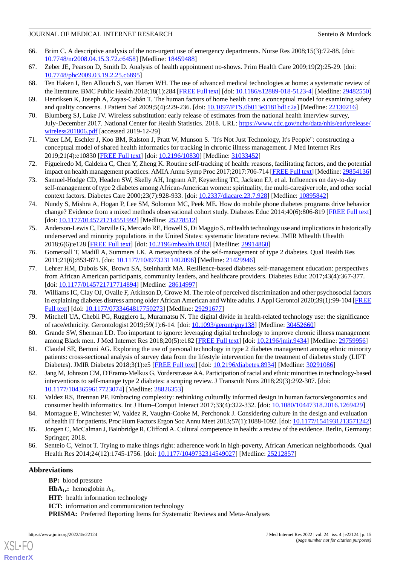- 66. Brim C. A descriptive analysis of the non-urgent use of emergency departments. Nurse Res 2008;15(3):72-88. [doi: [10.7748/nr2008.04.15.3.72.c6458](http://dx.doi.org/10.7748/nr2008.04.15.3.72.c6458)] [Medline: [18459488\]](http://www.ncbi.nlm.nih.gov/entrez/query.fcgi?cmd=Retrieve&db=PubMed&list_uids=18459488&dopt=Abstract)
- <span id="page-14-1"></span><span id="page-14-0"></span>67. Zeber JE, Pearson D, Smith D. Analysis of health appointment no-shows. Prim Health Care 2009;19(2):25-29. [doi: [10.7748/phc2009.03.19.2.25.c6895](http://dx.doi.org/10.7748/phc2009.03.19.2.25.c6895)]
- <span id="page-14-2"></span>68. Ten Haken I, Ben Allouch S, van Harten WH. The use of advanced medical technologies at home: a systematic review of the literature. BMC Public Health 2018;18(1):284 [[FREE Full text](https://bmcpublichealth.biomedcentral.com/articles/10.1186/s12889-018-5123-4)] [doi: [10.1186/s12889-018-5123-4\]](http://dx.doi.org/10.1186/s12889-018-5123-4) [Medline: [29482550\]](http://www.ncbi.nlm.nih.gov/entrez/query.fcgi?cmd=Retrieve&db=PubMed&list_uids=29482550&dopt=Abstract)
- <span id="page-14-3"></span>69. Henriksen K, Joseph A, Zayas-Cabán T. The human factors of home health care: a conceptual model for examining safety and quality concerns. J Patient Saf 2009;5(4):229-236. [doi: [10.1097/PTS.0b013e3181bd1c2a\]](http://dx.doi.org/10.1097/PTS.0b013e3181bd1c2a) [Medline: [22130216\]](http://www.ncbi.nlm.nih.gov/entrez/query.fcgi?cmd=Retrieve&db=PubMed&list_uids=22130216&dopt=Abstract)
- <span id="page-14-4"></span>70. Blumberg SJ, Luke JV. Wireless substitution: early release of estimates from the national health interview survey, July-December 2017. National Center for Health Statistics. 2018. URL: [https://www.cdc.gov/nchs/data/nhis/earlyrelease/](https://www.cdc.gov/nchs/data/nhis/earlyrelease/wireless201806.pdf) [wireless201806.pdf](https://www.cdc.gov/nchs/data/nhis/earlyrelease/wireless201806.pdf) [accessed 2019-12-29]
- <span id="page-14-5"></span>71. Vizer LM, Eschler J, Koo BM, Ralston J, Pratt W, Munson S. "It's Not Just Technology, It's People": constructing a conceptual model of shared health informatics for tracking in chronic illness management. J Med Internet Res 2019;21(4):e10830 [\[FREE Full text](https://www.jmir.org/2019/4/e10830/)] [doi: [10.2196/10830\]](http://dx.doi.org/10.2196/10830) [Medline: [31033452\]](http://www.ncbi.nlm.nih.gov/entrez/query.fcgi?cmd=Retrieve&db=PubMed&list_uids=31033452&dopt=Abstract)
- <span id="page-14-6"></span>72. Figueiredo M, Caldeira C, Chen Y, Zheng K. Routine self-tracking of health: reasons, facilitating factors, and the potential impact on health management practices. AMIA Annu Symp Proc 2017;2017:706-714 [\[FREE Full text\]](http://europepmc.org/abstract/MED/29854136) [Medline: [29854136\]](http://www.ncbi.nlm.nih.gov/entrez/query.fcgi?cmd=Retrieve&db=PubMed&list_uids=29854136&dopt=Abstract)
- <span id="page-14-7"></span>73. Samuel-Hodge CD, Headen SW, Skelly AH, Ingram AF, Keyserling TC, Jackson EJ, et al. Influences on day-to-day self-management of type 2 diabetes among African-American women: spirituality, the multi-caregiver role, and other social context factors. Diabetes Care 2000;23(7):928-933. [doi: [10.2337/diacare.23.7.928\]](http://dx.doi.org/10.2337/diacare.23.7.928) [Medline: [10895842\]](http://www.ncbi.nlm.nih.gov/entrez/query.fcgi?cmd=Retrieve&db=PubMed&list_uids=10895842&dopt=Abstract)
- <span id="page-14-8"></span>74. Nundy S, Mishra A, Hogan P, Lee SM, Solomon MC, Peek ME. How do mobile phone diabetes programs drive behavior change? Evidence from a mixed methods observational cohort study. Diabetes Educ 2014;40(6):806-819 [\[FREE Full text](http://europepmc.org/abstract/MED/25278512)] [doi: [10.1177/0145721714551992](http://dx.doi.org/10.1177/0145721714551992)] [Medline: [25278512\]](http://www.ncbi.nlm.nih.gov/entrez/query.fcgi?cmd=Retrieve&db=PubMed&list_uids=25278512&dopt=Abstract)
- <span id="page-14-9"></span>75. Anderson-Lewis C, Darville G, Mercado RE, Howell S, Di Maggio S. mHealth technology use and implications in historically underserved and minority populations in the United States: systematic literature review. JMIR Mhealth Uhealth 2018;6(6):e128 [\[FREE Full text](https://mhealth.jmir.org/2018/6/e128/)] [doi: [10.2196/mhealth.8383\]](http://dx.doi.org/10.2196/mhealth.8383) [Medline: [29914860](http://www.ncbi.nlm.nih.gov/entrez/query.fcgi?cmd=Retrieve&db=PubMed&list_uids=29914860&dopt=Abstract)]
- 76. Gomersall T, Madill A, Summers LK. A metasynthesis of the self-management of type 2 diabetes. Qual Health Res 2011;21(6):853-871. [doi: [10.1177/1049732311402096\]](http://dx.doi.org/10.1177/1049732311402096) [Medline: [21429946](http://www.ncbi.nlm.nih.gov/entrez/query.fcgi?cmd=Retrieve&db=PubMed&list_uids=21429946&dopt=Abstract)]
- <span id="page-14-10"></span>77. Lehrer HM, Dubois SK, Brown SA, Steinhardt MA. Resilience-based diabetes self-management education: perspectives from African American participants, community leaders, and healthcare providers. Diabetes Educ 2017;43(4):367-377. [doi: [10.1177/0145721717714894](http://dx.doi.org/10.1177/0145721717714894)] [Medline: [28614997\]](http://www.ncbi.nlm.nih.gov/entrez/query.fcgi?cmd=Retrieve&db=PubMed&list_uids=28614997&dopt=Abstract)
- <span id="page-14-12"></span><span id="page-14-11"></span>78. Williams IC, Clay OJ, Ovalle F, Atkinson D, Crowe M. The role of perceived discrimination and other psychosocial factors in explaining diabetes distress among older African American and White adults. J Appl Gerontol 2020;39(1):99-104 [\[FREE](http://europepmc.org/abstract/MED/29291677) [Full text\]](http://europepmc.org/abstract/MED/29291677) [doi: [10.1177/0733464817750273](http://dx.doi.org/10.1177/0733464817750273)] [Medline: [29291677](http://www.ncbi.nlm.nih.gov/entrez/query.fcgi?cmd=Retrieve&db=PubMed&list_uids=29291677&dopt=Abstract)]
- 79. Mitchell UA, Chebli PG, Ruggiero L, Muramatsu N. The digital divide in health-related technology use: the significance of race/ethnicity. Gerontologist 2019;59(1):6-14. [doi: [10.1093/geront/gny138](http://dx.doi.org/10.1093/geront/gny138)] [Medline: [30452660\]](http://www.ncbi.nlm.nih.gov/entrez/query.fcgi?cmd=Retrieve&db=PubMed&list_uids=30452660&dopt=Abstract)
- <span id="page-14-13"></span>80. Grande SW, Sherman LD. Too important to ignore: leveraging digital technology to improve chronic illness management among Black men. J Med Internet Res 2018;20(5):e182 [\[FREE Full text\]](https://www.jmir.org/2018/5/e182/) [doi: [10.2196/jmir.9434\]](http://dx.doi.org/10.2196/jmir.9434) [Medline: [29759956](http://www.ncbi.nlm.nih.gov/entrez/query.fcgi?cmd=Retrieve&db=PubMed&list_uids=29759956&dopt=Abstract)]
- <span id="page-14-14"></span>81. Claudel SE, Bertoni AG. Exploring the use of personal technology in type 2 diabetes management among ethnic minority patients: cross-sectional analysis of survey data from the lifestyle intervention for the treatment of diabetes study (LIFT Diabetes). JMIR Diabetes 2018;3(1):e5 [\[FREE Full text](https://diabetes.jmir.org/2018/1/e5/)] [doi: [10.2196/diabetes.8934](http://dx.doi.org/10.2196/diabetes.8934)] [Medline: [30291086](http://www.ncbi.nlm.nih.gov/entrez/query.fcgi?cmd=Retrieve&db=PubMed&list_uids=30291086&dopt=Abstract)]
- <span id="page-14-15"></span>82. Jang M, Johnson CM, D'Eramo-Melkus G, Vorderstrasse AA. Participation of racial and ethnic minorities in technology-based interventions to self-manage type 2 diabetes: a scoping review. J Transcult Nurs 2018;29(3):292-307. [doi: [10.1177/1043659617723074\]](http://dx.doi.org/10.1177/1043659617723074) [Medline: [28826353\]](http://www.ncbi.nlm.nih.gov/entrez/query.fcgi?cmd=Retrieve&db=PubMed&list_uids=28826353&dopt=Abstract)
- <span id="page-14-17"></span><span id="page-14-16"></span>83. Valdez RS, Brennan PF. Embracing complexity: rethinking culturally informed design in human factors/ergonomics and consumer health informatics. Int J Hum–Comput Interact 2017;33(4):322-332. [doi: [10.1080/10447318.2016.1269429](http://dx.doi.org/10.1080/10447318.2016.1269429)]
- 84. Montague E, Winchester W, Valdez R, Vaughn-Cooke M, Perchonok J. Considering culture in the design and evaluation of health IT for patients. Proc Hum Factors Ergon Soc Annu Meet 2013;57(1):1088-1092. [doi: [10.1177/1541931213571242\]](http://dx.doi.org/10.1177/1541931213571242)
- 85. Jongen C, McCalman J, Bainbridge R, Clifford A. Cultural competence in health: a review of the evidence. Berlin, Germany: Springer; 2018.
- 86. Senteio C, Veinot T. Trying to make things right: adherence work in high-poverty, African American neighborhoods. Qual Health Res 2014;24(12):1745-1756. [doi: [10.1177/1049732314549027](http://dx.doi.org/10.1177/1049732314549027)] [Medline: [25212857](http://www.ncbi.nlm.nih.gov/entrez/query.fcgi?cmd=Retrieve&db=PubMed&list_uids=25212857&dopt=Abstract)]

### **Abbreviations**

[XSL](http://www.w3.org/Style/XSL)•FO **[RenderX](http://www.renderx.com/)**

**BP:** blood pressure **HbA**<sub>1c</sub>**:** hemoglobin  $A_{1c}$ **HIT:** health information technology **ICT:** information and communication technology **PRISMA:** Preferred Reporting Items for Systematic Reviews and Meta-Analyses